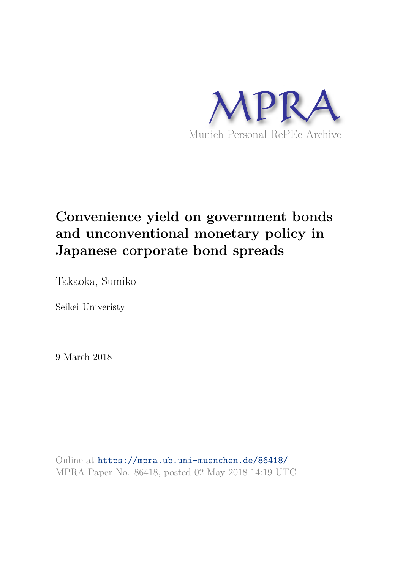

# **Convenience yield on government bonds and unconventional monetary policy in Japanese corporate bond spreads**

Takaoka, Sumiko

Seikei Univeristy

9 March 2018

Online at https://mpra.ub.uni-muenchen.de/86418/ MPRA Paper No. 86418, posted 02 May 2018 14:19 UTC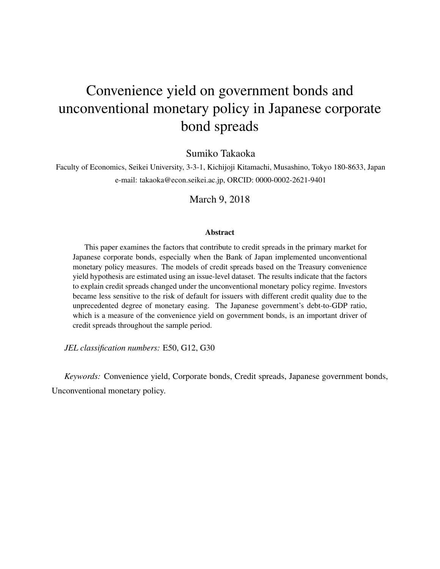# Convenience yield on government bonds and unconventional monetary policy in Japanese corporate bond spreads

Sumiko Takaoka

Faculty of Economics, Seikei University, 3-3-1, Kichijoji Kitamachi, Musashino, Tokyo 180-8633, Japan e-mail: takaoka@econ.seikei.ac.jp, ORCID: 0000-0002-2621-9401

March 9, 2018

#### **Abstract**

This paper examines the factors that contribute to credit spreads in the primary market for Japanese corporate bonds, especially when the Bank of Japan implemented unconventional monetary policy measures. The models of credit spreads based on the Treasury convenience yield hypothesis are estimated using an issue-level dataset. The results indicate that the factors to explain credit spreads changed under the unconventional monetary policy regime. Investors became less sensitive to the risk of default for issuers with different credit quality due to the unprecedented degree of monetary easing. The Japanese government's debt-to-GDP ratio, which is a measure of the convenience yield on government bonds, is an important driver of credit spreads throughout the sample period.

*JEL classification numbers:* E50, G12, G30

*Keywords:* Convenience yield, Corporate bonds, Credit spreads, Japanese government bonds, Unconventional monetary policy.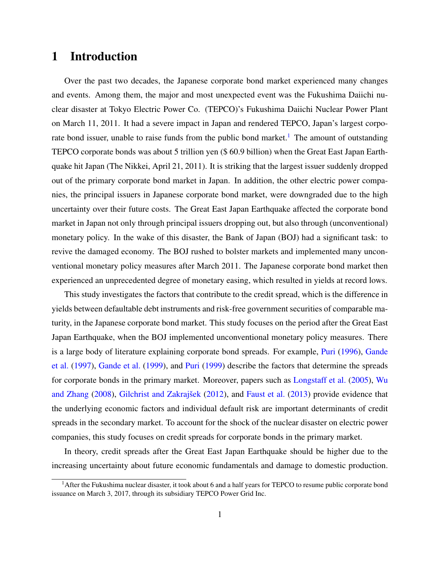## 1 Introduction

Over the past two decades, the Japanese corporate bond market experienced many changes and events. Among them, the major and most unexpected event was the Fukushima Daiichi nuclear disaster at Tokyo Electric Power Co. (TEPCO)'s Fukushima Daiichi Nuclear Power Plant on March 11, 2011. It had a severe impact in Japan and rendered TEPCO, Japan's largest corporate bond issuer, unable to raise funds from the public bond market.<sup>1</sup> The amount of outstanding TEPCO corporate bonds was about 5 trillion yen (\$ 60.9 billion) when the Great East Japan Earthquake hit Japan (The Nikkei, April 21, 2011). It is striking that the largest issuer suddenly dropped out of the primary corporate bond market in Japan. In addition, the other electric power companies, the principal issuers in Japanese corporate bond market, were downgraded due to the high uncertainty over their future costs. The Great East Japan Earthquake affected the corporate bond market in Japan not only through principal issuers dropping out, but also through (unconventional) monetary policy. In the wake of this disaster, the Bank of Japan (BOJ) had a significant task: to revive the damaged economy. The BOJ rushed to bolster markets and implemented many unconventional monetary policy measures after March 2011. The Japanese corporate bond market then experienced an unprecedented degree of monetary easing, which resulted in yields at record lows.

This study investigates the factors that contribute to the credit spread, which is the difference in yields between defaultable debt instruments and risk-free government securities of comparable maturity, in the Japanese corporate bond market. This study focuses on the period after the Great East Japan Earthquake, when the BOJ implemented unconventional monetary policy measures. There is a large body of literature explaining corporate bond spreads. For example, Puri (1996), Gande et al. (1997), Gande et al. (1999), and Puri (1999) describe the factors that determine the spreads for corporate bonds in the primary market. Moreover, papers such as Longstaff et al. (2005), Wu and Zhang  $(2008)$ , Gilchrist and Zakrajšek  $(2012)$ , and Faust et al.  $(2013)$  provide evidence that the underlying economic factors and individual default risk are important determinants of credit spreads in the secondary market. To account for the shock of the nuclear disaster on electric power companies, this study focuses on credit spreads for corporate bonds in the primary market.

In theory, credit spreads after the Great East Japan Earthquake should be higher due to the increasing uncertainty about future economic fundamentals and damage to domestic production.

<sup>&</sup>lt;sup>1</sup> After the Fukushima nuclear disaster, it took about 6 and a half years for TEPCO to resume public corporate bond issuance on March 3, 2017, through its subsidiary TEPCO Power Grid Inc.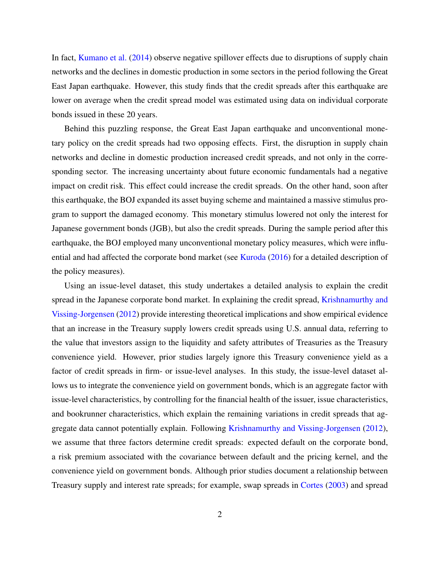In fact, Kumano et al. (2014) observe negative spillover effects due to disruptions of supply chain networks and the declines in domestic production in some sectors in the period following the Great East Japan earthquake. However, this study finds that the credit spreads after this earthquake are lower on average when the credit spread model was estimated using data on individual corporate bonds issued in these 20 years.

Behind this puzzling response, the Great East Japan earthquake and unconventional monetary policy on the credit spreads had two opposing effects. First, the disruption in supply chain networks and decline in domestic production increased credit spreads, and not only in the corresponding sector. The increasing uncertainty about future economic fundamentals had a negative impact on credit risk. This effect could increase the credit spreads. On the other hand, soon after this earthquake, the BOJ expanded its asset buying scheme and maintained a massive stimulus program to support the damaged economy. This monetary stimulus lowered not only the interest for Japanese government bonds (JGB), but also the credit spreads. During the sample period after this earthquake, the BOJ employed many unconventional monetary policy measures, which were influential and had affected the corporate bond market (see Kuroda (2016) for a detailed description of the policy measures).

Using an issue-level dataset, this study undertakes a detailed analysis to explain the credit spread in the Japanese corporate bond market. In explaining the credit spread, Krishnamurthy and Vissing-Jorgensen (2012) provide interesting theoretical implications and show empirical evidence that an increase in the Treasury supply lowers credit spreads using U.S. annual data, referring to the value that investors assign to the liquidity and safety attributes of Treasuries as the Treasury convenience yield. However, prior studies largely ignore this Treasury convenience yield as a factor of credit spreads in firm- or issue-level analyses. In this study, the issue-level dataset allows us to integrate the convenience yield on government bonds, which is an aggregate factor with issue-level characteristics, by controlling for the financial health of the issuer, issue characteristics, and bookrunner characteristics, which explain the remaining variations in credit spreads that aggregate data cannot potentially explain. Following Krishnamurthy and Vissing-Jorgensen (2012), we assume that three factors determine credit spreads: expected default on the corporate bond, a risk premium associated with the covariance between default and the pricing kernel, and the convenience yield on government bonds. Although prior studies document a relationship between Treasury supply and interest rate spreads; for example, swap spreads in Cortes (2003) and spread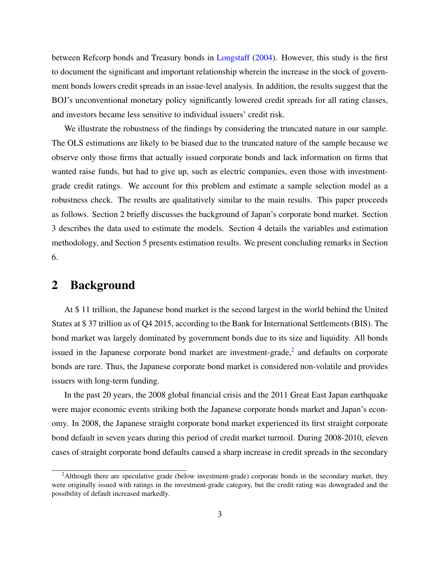between Refcorp bonds and Treasury bonds in Longstaff (2004). However, this study is the first to document the significant and important relationship wherein the increase in the stock of government bonds lowers credit spreads in an issue-level analysis. In addition, the results suggest that the BOJ's unconventional monetary policy significantly lowered credit spreads for all rating classes, and investors became less sensitive to individual issuers' credit risk.

We illustrate the robustness of the findings by considering the truncated nature in our sample. The OLS estimations are likely to be biased due to the truncated nature of the sample because we observe only those firms that actually issued corporate bonds and lack information on firms that wanted raise funds, but had to give up, such as electric companies, even those with investmentgrade credit ratings. We account for this problem and estimate a sample selection model as a robustness check. The results are qualitatively similar to the main results. This paper proceeds as follows. Section 2 briefly discusses the background of Japan's corporate bond market. Section 3 describes the data used to estimate the models. Section 4 details the variables and estimation methodology, and Section 5 presents estimation results. We present concluding remarks in Section 6.

### 2 Background

At \$ 11 trillion, the Japanese bond market is the second largest in the world behind the United States at \$ 37 trillion as of Q4 2015, according to the Bank for International Settlements (BIS). The bond market was largely dominated by government bonds due to its size and liquidity. All bonds issued in the Japanese corporate bond market are investment-grade, $<sup>2</sup>$  and defaults on corporate</sup> bonds are rare. Thus, the Japanese corporate bond market is considered non-volatile and provides issuers with long-term funding.

In the past 20 years, the 2008 global financial crisis and the 2011 Great East Japan earthquake were major economic events striking both the Japanese corporate bonds market and Japan's economy. In 2008, the Japanese straight corporate bond market experienced its first straight corporate bond default in seven years during this period of credit market turmoil. During 2008-2010, eleven cases of straight corporate bond defaults caused a sharp increase in credit spreads in the secondary

<sup>&</sup>lt;sup>2</sup>Although there are speculative grade (below investment-grade) corporate bonds in the secondary market, they were originally issued with ratings in the investment-grade category, but the credit rating was downgraded and the possibility of default increased markedly.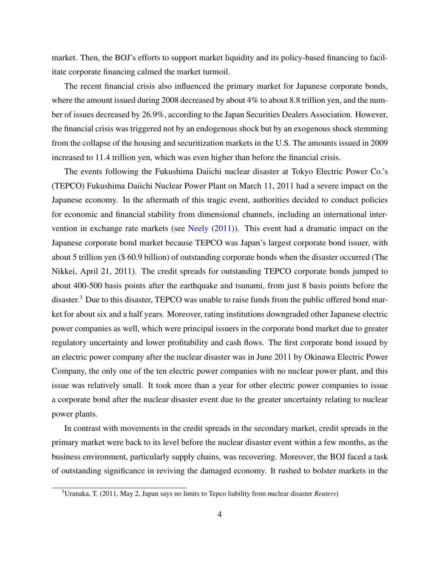market. Then, the BOJ's efforts to support market liquidity and its policy-based financing to facilitate corporate financing calmed the market turmoil.

The recent financial crisis also influenced the primary market for Japanese corporate bonds, where the amount issued during 2008 decreased by about 4% to about 8.8 trillion yen, and the number of issues decreased by 26.9%, according to the Japan Securities Dealers Association. However, the financial crisis was triggered not by an endogenous shock but by an exogenous shock stemming from the collapse of the housing and securitization markets in the U.S. The amounts issued in 2009 increased to 11.4 trillion yen, which was even higher than before the financial crisis.

The events following the Fukushima Daiichi nuclear disaster at Tokyo Electric Power Co.'s (TEPCO) Fukushima Daiichi Nuclear Power Plant on March 11, 2011 had a severe impact on the Japanese economy. In the aftermath of this tragic event, authorities decided to conduct policies for economic and financial stability from dimensional channels, including an international intervention in exchange rate markets (see Neely  $(2011)$ ). This event had a dramatic impact on the Japanese corporate bond market because TEPCO was Japan's largest corporate bond issuer, with about 5 trillion yen (\$ 60.9 billion) of outstanding corporate bonds when the disaster occurred (The Nikkei, April 21, 2011). The credit spreads for outstanding TEPCO corporate bonds jumped to about 400-500 basis points after the earthquake and tsunami, from just 8 basis points before the disaster.<sup>3</sup> Due to this disaster, TEPCO was unable to raise funds from the public offered bond market for about six and a half years. Moreover, rating institutions downgraded other Japanese electric power companies as well, which were principal issuers in the corporate bond market due to greater regulatory uncertainty and lower profitability and cash flows. The first corporate bond issued by an electric power company after the nuclear disaster was in June 2011 by Okinawa Electric Power Company, the only one of the ten electric power companies with no nuclear power plant, and this issue was relatively small. It took more than a year for other electric power companies to issue a corporate bond after the nuclear disaster event due to the greater uncertainty relating to nuclear power plants.

In contrast with movements in the credit spreads in the secondary market, credit spreads in the primary market were back to its level before the nuclear disaster event within a few months, as the business environment, particularly supply chains, was recovering. Moreover, the BOJ faced a task of outstanding significance in reviving the damaged economy. It rushed to bolster markets in the

<sup>3</sup>Uranaka, T. (2011, May 2, Japan says no limits to Tepco liability from nuclear disaster *Reuters*)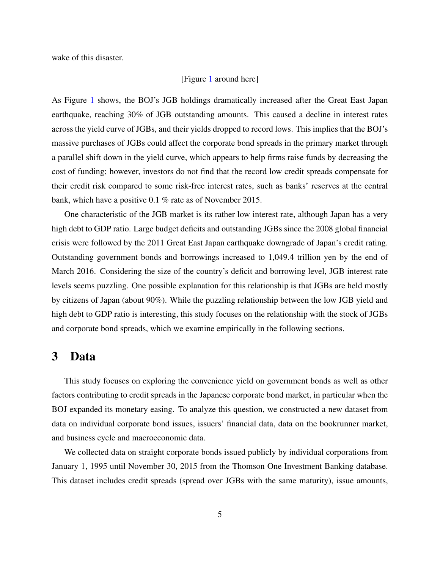wake of this disaster.

#### [Figure 1 around here]

As Figure 1 shows, the BOJ's JGB holdings dramatically increased after the Great East Japan earthquake, reaching 30% of JGB outstanding amounts. This caused a decline in interest rates across the yield curve of JGBs, and their yields dropped to record lows. This implies that the BOJ's massive purchases of JGBs could affect the corporate bond spreads in the primary market through a parallel shift down in the yield curve, which appears to help firms raise funds by decreasing the cost of funding; however, investors do not find that the record low credit spreads compensate for their credit risk compared to some risk-free interest rates, such as banks' reserves at the central bank, which have a positive 0.1 % rate as of November 2015.

One characteristic of the JGB market is its rather low interest rate, although Japan has a very high debt to GDP ratio. Large budget deficits and outstanding JGBs since the 2008 global financial crisis were followed by the 2011 Great East Japan earthquake downgrade of Japan's credit rating. Outstanding government bonds and borrowings increased to 1,049.4 trillion yen by the end of March 2016. Considering the size of the country's deficit and borrowing level, JGB interest rate levels seems puzzling. One possible explanation for this relationship is that JGBs are held mostly by citizens of Japan (about 90%). While the puzzling relationship between the low JGB yield and high debt to GDP ratio is interesting, this study focuses on the relationship with the stock of JGBs and corporate bond spreads, which we examine empirically in the following sections.

## 3 Data

This study focuses on exploring the convenience yield on government bonds as well as other factors contributing to credit spreads in the Japanese corporate bond market, in particular when the BOJ expanded its monetary easing. To analyze this question, we constructed a new dataset from data on individual corporate bond issues, issuers' financial data, data on the bookrunner market, and business cycle and macroeconomic data.

We collected data on straight corporate bonds issued publicly by individual corporations from January 1, 1995 until November 30, 2015 from the Thomson One Investment Banking database. This dataset includes credit spreads (spread over JGBs with the same maturity), issue amounts,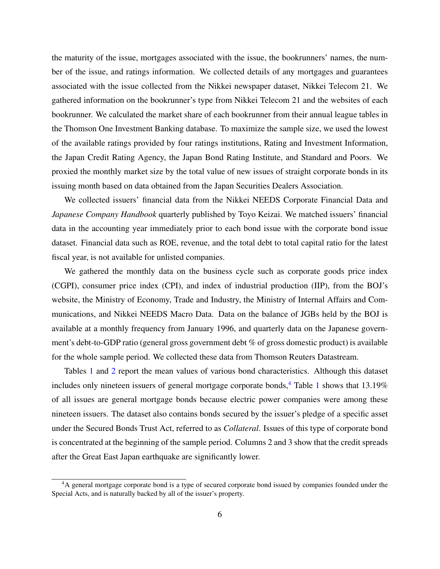the maturity of the issue, mortgages associated with the issue, the bookrunners' names, the number of the issue, and ratings information. We collected details of any mortgages and guarantees associated with the issue collected from the Nikkei newspaper dataset, Nikkei Telecom 21. We gathered information on the bookrunner's type from Nikkei Telecom 21 and the websites of each bookrunner. We calculated the market share of each bookrunner from their annual league tables in the Thomson One Investment Banking database. To maximize the sample size, we used the lowest of the available ratings provided by four ratings institutions, Rating and Investment Information, the Japan Credit Rating Agency, the Japan Bond Rating Institute, and Standard and Poors. We proxied the monthly market size by the total value of new issues of straight corporate bonds in its issuing month based on data obtained from the Japan Securities Dealers Association.

We collected issuers' financial data from the Nikkei NEEDS Corporate Financial Data and *Japanese Company Handbook* quarterly published by Toyo Keizai. We matched issuers' financial data in the accounting year immediately prior to each bond issue with the corporate bond issue dataset. Financial data such as ROE, revenue, and the total debt to total capital ratio for the latest fiscal year, is not available for unlisted companies.

We gathered the monthly data on the business cycle such as corporate goods price index (CGPI), consumer price index (CPI), and index of industrial production (IIP), from the BOJ's website, the Ministry of Economy, Trade and Industry, the Ministry of Internal Affairs and Communications, and Nikkei NEEDS Macro Data. Data on the balance of JGBs held by the BOJ is available at a monthly frequency from January 1996, and quarterly data on the Japanese government's debt-to-GDP ratio (general gross government debt % of gross domestic product) is available for the whole sample period. We collected these data from Thomson Reuters Datastream.

Tables 1 and 2 report the mean values of various bond characteristics. Although this dataset includes only nineteen issuers of general mortgage corporate bonds,<sup>4</sup> Table 1 shows that  $13.19\%$ of all issues are general mortgage bonds because electric power companies were among these nineteen issuers. The dataset also contains bonds secured by the issuer's pledge of a specific asset under the Secured Bonds Trust Act, referred to as *Collateral*. Issues of this type of corporate bond is concentrated at the beginning of the sample period. Columns 2 and 3 show that the credit spreads after the Great East Japan earthquake are significantly lower.

<sup>4</sup>A general mortgage corporate bond is a type of secured corporate bond issued by companies founded under the Special Acts, and is naturally backed by all of the issuer's property.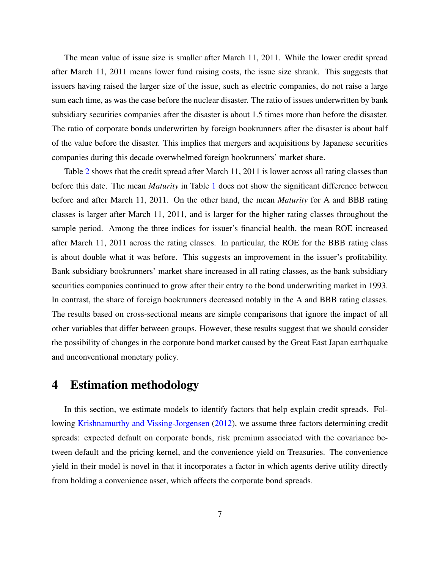The mean value of issue size is smaller after March 11, 2011. While the lower credit spread after March 11, 2011 means lower fund raising costs, the issue size shrank. This suggests that issuers having raised the larger size of the issue, such as electric companies, do not raise a large sum each time, as was the case before the nuclear disaster. The ratio of issues underwritten by bank subsidiary securities companies after the disaster is about 1.5 times more than before the disaster. The ratio of corporate bonds underwritten by foreign bookrunners after the disaster is about half of the value before the disaster. This implies that mergers and acquisitions by Japanese securities companies during this decade overwhelmed foreign bookrunners' market share.

Table 2 shows that the credit spread after March 11, 2011 is lower across all rating classes than before this date. The mean *Maturity* in Table 1 does not show the significant difference between before and after March 11, 2011. On the other hand, the mean *Maturity* for A and BBB rating classes is larger after March 11, 2011, and is larger for the higher rating classes throughout the sample period. Among the three indices for issuer's financial health, the mean ROE increased after March 11, 2011 across the rating classes. In particular, the ROE for the BBB rating class is about double what it was before. This suggests an improvement in the issuer's profitability. Bank subsidiary bookrunners' market share increased in all rating classes, as the bank subsidiary securities companies continued to grow after their entry to the bond underwriting market in 1993. In contrast, the share of foreign bookrunners decreased notably in the A and BBB rating classes. The results based on cross-sectional means are simple comparisons that ignore the impact of all other variables that differ between groups. However, these results suggest that we should consider the possibility of changes in the corporate bond market caused by the Great East Japan earthquake and unconventional monetary policy.

#### 4 Estimation methodology

In this section, we estimate models to identify factors that help explain credit spreads. Following Krishnamurthy and Vissing-Jorgensen (2012), we assume three factors determining credit spreads: expected default on corporate bonds, risk premium associated with the covariance between default and the pricing kernel, and the convenience yield on Treasuries. The convenience yield in their model is novel in that it incorporates a factor in which agents derive utility directly from holding a convenience asset, which affects the corporate bond spreads.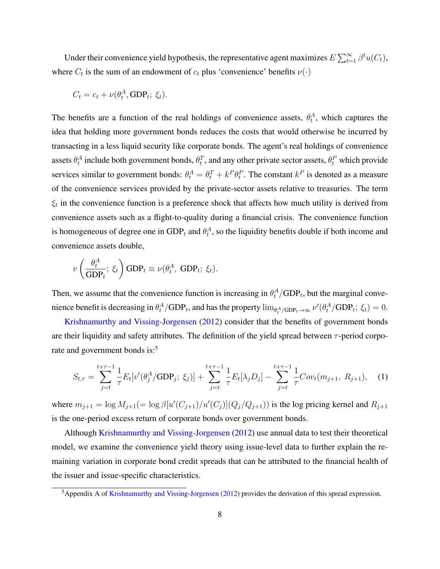Under their convenience yield hypothesis, the representative agent maximizes  $E\sum_{t=1}^{\infty} \beta^t u(C_t)$ , where  $C_t$  is the sum of an endowment of  $c_t$  plus 'convenience' benefits  $\nu(\cdot)$ 

$$
C_t = c_t + \nu(\theta_t^A, \text{GDP}_t; \xi_t).
$$

The benefits are a function of the real holdings of convenience assets,  $\theta_t^A$ , which captures the idea that holding more government bonds reduces the costs that would otherwise be incurred by transacting in a less liquid security like corporate bonds. The agent's real holdings of convenience assets  $\theta_t^A$  include both government bonds,  $\theta_t^T$ , and any other private sector assets,  $\theta_t^P$  which provide services similar to government bonds:  $\theta_t^A = \theta_t^T + k^P \theta_t^P$ . The constant  $k^P$  is denoted as a measure of the convenience services provided by the private-sector assets relative to treasuries. The term  $\xi_t$  in the convenience function is a preference shock that affects how much utility is derived from convenience assets such as a flight-to-quality during a financial crisis. The convenience function is homogeneous of degree one in  $GDP_t$  and  $\theta_t^A$ , so the liquidity benefits double if both income and convenience assets double,

$$
v\left(\frac{\theta_t^A}{\text{GDP}_t};\ \xi_t\right)\text{GDP}_t \equiv \nu(\theta_t^A,\ \text{GDP}_t;\ \xi_t).
$$

Then, we assume that the convenience function is increasing in  $\theta_t^A/\text{GDP}_t$ , but the marginal convenience benefit is decreasing in  $\theta_t^A/\text{GDP}_t$ , and has the property  $\lim_{\theta_t^A/\text{GDP}_t \to \infty} \nu'(\theta_t^A/\text{GDP}_t; \xi_t) = 0$ .

Krishnamurthy and Vissing-Jorgensen (2012) consider that the benefits of government bonds are their liquidity and safety attributes. The definition of the yield spread between  $\tau$ -period corporate and government bonds is:<sup>5</sup>

$$
S_{t,\tau} = \sum_{j=t}^{t+\tau-1} \frac{1}{\tau} E_t[v'(\theta_j^A/\text{GDP}_j; \xi_j)] + \sum_{j=t}^{t+\tau-1} \frac{1}{\tau} E_t[\lambda_j D_j] - \sum_{j=t}^{t+\tau-1} \frac{1}{\tau} Cov_t(m_{j+1}, R_{j+1}), \quad (1)
$$

where  $m_{j+1} = \log M_{j+1} (= \log \beta [u'(C_{j+1})/u'(C_j)](Q_j/Q_{j+1}))$  is the log pricing kernel and  $R_{j+1}$ is the one-period excess return of corporate bonds over government bonds.

Although Krishnamurthy and Vissing-Jorgensen (2012) use annual data to test their theoretical model, we examine the convenience yield theory using issue-level data to further explain the remaining variation in corporate bond credit spreads that can be attributed to the financial health of the issuer and issue-specific characteristics.

<sup>&</sup>lt;sup>5</sup>Appendix A of Krishnamurthy and Vissing-Jorgensen (2012) provides the derivation of this spread expression.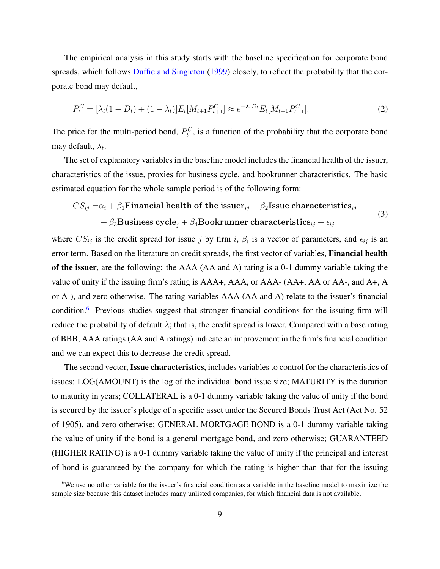The empirical analysis in this study starts with the baseline specification for corporate bond spreads, which follows Duffie and Singleton (1999) closely, to reflect the probability that the corporate bond may default,

$$
P_t^C = [\lambda_t(1 - D_t) + (1 - \lambda_t)]E_t[M_{t+1}P_{t+1}^C] \approx e^{-\lambda_t D_t}E_t[M_{t+1}P_{t+1}^C].
$$
\n(2)

The price for the multi-period bond,  $P_t^C$ , is a function of the probability that the corporate bond may default,  $\lambda_t$ .

The set of explanatory variables in the baseline model includes the financial health of the issuer, characteristics of the issue, proxies for business cycle, and bookrunner characteristics. The basic estimated equation for the whole sample period is of the following form:

$$
CS_{ij} = \alpha_i + \beta_1 \text{Financial health of the issuer}_{ij} + \beta_2 \text{ Issue characteristics}_{ij} + \beta_3 \text{Business cycle}_j + \beta_4 \text{Bookrunner characteristics}_{ij} + \epsilon_{ij}
$$
\n(3)

where  $CS_{ij}$  is the credit spread for issue j by firm i,  $\beta_i$  is a vector of parameters, and  $\epsilon_{ij}$  is an error term. Based on the literature on credit spreads, the first vector of variables, **Financial health** of the issuer, are the following: the AAA (AA and A) rating is a 0-1 dummy variable taking the value of unity if the issuing firm's rating is AAA+, AAA, or AAA- (AA+, AA or AA-, and A+, A or A-), and zero otherwise. The rating variables AAA (AA and A) relate to the issuer's financial condition.<sup>6</sup> Previous studies suggest that stronger financial conditions for the issuing firm will reduce the probability of default  $\lambda$ ; that is, the credit spread is lower. Compared with a base rating of BBB, AAA ratings (AA and A ratings) indicate an improvement in the firm's financial condition and we can expect this to decrease the credit spread.

The second vector, Issue characteristics, includes variables to control for the characteristics of issues: LOG(AMOUNT) is the log of the individual bond issue size; MATURITY is the duration to maturity in years; COLLATERAL is a 0-1 dummy variable taking the value of unity if the bond is secured by the issuer's pledge of a specific asset under the Secured Bonds Trust Act (Act No. 52 of 1905), and zero otherwise; GENERAL MORTGAGE BOND is a 0-1 dummy variable taking the value of unity if the bond is a general mortgage bond, and zero otherwise; GUARANTEED (HIGHER RATING) is a 0-1 dummy variable taking the value of unity if the principal and interest of bond is guaranteed by the company for which the rating is higher than that for the issuing

<sup>&</sup>lt;sup>6</sup>We use no other variable for the issuer's financial condition as a variable in the baseline model to maximize the sample size because this dataset includes many unlisted companies, for which financial data is not available.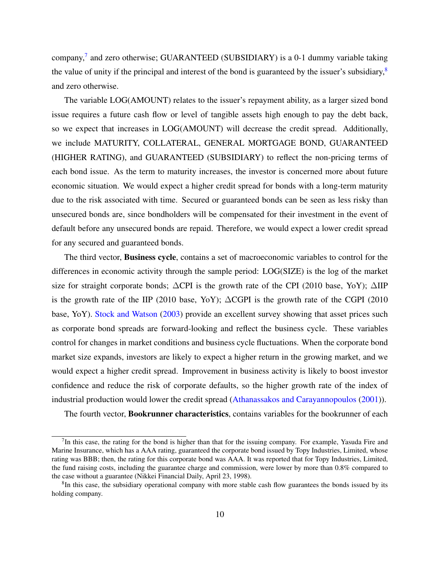company,<sup>7</sup> and zero otherwise; GUARANTEED (SUBSIDIARY) is a 0-1 dummy variable taking the value of unity if the principal and interest of the bond is guaranteed by the issuer's subsidiary, $8$ and zero otherwise.

The variable LOG(AMOUNT) relates to the issuer's repayment ability, as a larger sized bond issue requires a future cash flow or level of tangible assets high enough to pay the debt back, so we expect that increases in LOG(AMOUNT) will decrease the credit spread. Additionally, we include MATURITY, COLLATERAL, GENERAL MORTGAGE BOND, GUARANTEED (HIGHER RATING), and GUARANTEED (SUBSIDIARY) to reflect the non-pricing terms of each bond issue. As the term to maturity increases, the investor is concerned more about future economic situation. We would expect a higher credit spread for bonds with a long-term maturity due to the risk associated with time. Secured or guaranteed bonds can be seen as less risky than unsecured bonds are, since bondholders will be compensated for their investment in the event of default before any unsecured bonds are repaid. Therefore, we would expect a lower credit spread for any secured and guaranteed bonds.

The third vector, Business cycle, contains a set of macroeconomic variables to control for the differences in economic activity through the sample period: LOG(SIZE) is the log of the market size for straight corporate bonds; ∆CPI is the growth rate of the CPI (2010 base, YoY); ∆IIP is the growth rate of the IIP (2010 base, YoY); ∆CGPI is the growth rate of the CGPI (2010 base, YoY). Stock and Watson (2003) provide an excellent survey showing that asset prices such as corporate bond spreads are forward-looking and reflect the business cycle. These variables control for changes in market conditions and business cycle fluctuations. When the corporate bond market size expands, investors are likely to expect a higher return in the growing market, and we would expect a higher credit spread. Improvement in business activity is likely to boost investor confidence and reduce the risk of corporate defaults, so the higher growth rate of the index of industrial production would lower the credit spread (Athanassakos and Carayannopoulos (2001)).

The fourth vector, **Bookrunner characteristics**, contains variables for the bookrunner of each

 $7$ In this case, the rating for the bond is higher than that for the issuing company. For example, Yasuda Fire and Marine Insurance, which has a AAA rating, guaranteed the corporate bond issued by Topy Industries, Limited, whose rating was BBB; then, the rating for this corporate bond was AAA. It was reported that for Topy Industries, Limited, the fund raising costs, including the guarantee charge and commission, were lower by more than 0.8% compared to the case without a guarantee (Nikkei Financial Daily, April 23, 1998).

<sup>&</sup>lt;sup>8</sup>In this case, the subsidiary operational company with more stable cash flow guarantees the bonds issued by its holding company.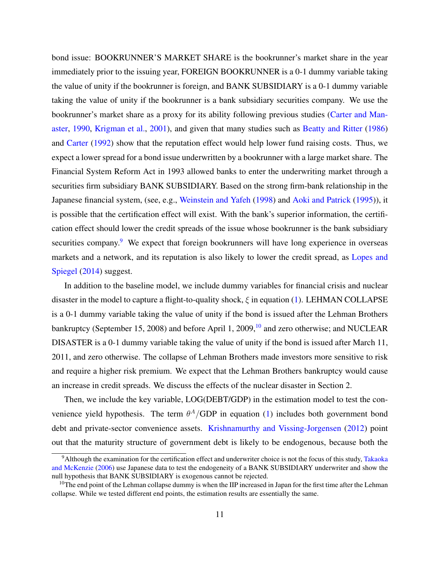bond issue: BOOKRUNNER'S MARKET SHARE is the bookrunner's market share in the year immediately prior to the issuing year, FOREIGN BOOKRUNNER is a 0-1 dummy variable taking the value of unity if the bookrunner is foreign, and BANK SUBSIDIARY is a 0-1 dummy variable taking the value of unity if the bookrunner is a bank subsidiary securities company. We use the bookrunner's market share as a proxy for its ability following previous studies (Carter and Manaster, 1990, Krigman et al., 2001), and given that many studies such as Beatty and Ritter (1986) and Carter (1992) show that the reputation effect would help lower fund raising costs. Thus, we expect a lower spread for a bond issue underwritten by a bookrunner with a large market share. The Financial System Reform Act in 1993 allowed banks to enter the underwriting market through a securities firm subsidiary BANK SUBSIDIARY. Based on the strong firm-bank relationship in the Japanese financial system, (see, e.g., Weinstein and Yafeh (1998) and Aoki and Patrick (1995)), it is possible that the certification effect will exist. With the bank's superior information, the certification effect should lower the credit spreads of the issue whose bookrunner is the bank subsidiary securities company.<sup>9</sup> We expect that foreign bookrunners will have long experience in overseas markets and a network, and its reputation is also likely to lower the credit spread, as Lopes and Spiegel (2014) suggest.

In addition to the baseline model, we include dummy variables for financial crisis and nuclear disaster in the model to capture a flight-to-quality shock,  $\xi$  in equation (1). LEHMAN COLLAPSE is a 0-1 dummy variable taking the value of unity if the bond is issued after the Lehman Brothers bankruptcy (September 15, 2008) and before April 1, 2009,<sup>10</sup> and zero otherwise; and NUCLEAR DISASTER is a 0-1 dummy variable taking the value of unity if the bond is issued after March 11, 2011, and zero otherwise. The collapse of Lehman Brothers made investors more sensitive to risk and require a higher risk premium. We expect that the Lehman Brothers bankruptcy would cause an increase in credit spreads. We discuss the effects of the nuclear disaster in Section 2.

Then, we include the key variable, LOG(DEBT/GDP) in the estimation model to test the convenience yield hypothesis. The term  $\theta^A/\text{GDP}$  in equation (1) includes both government bond debt and private-sector convenience assets. Krishnamurthy and Vissing-Jorgensen (2012) point out that the maturity structure of government debt is likely to be endogenous, because both the

<sup>9</sup>Although the examination for the certification effect and underwriter choice is not the focus of this study, Takaoka and McKenzie (2006) use Japanese data to test the endogeneity of a BANK SUBSIDIARY underwriter and show the null hypothesis that BANK SUBSIDIARY is exogenous cannot be rejected.

 $10$ The end point of the Lehman collapse dummy is when the IIP increased in Japan for the first time after the Lehman collapse. While we tested different end points, the estimation results are essentially the same.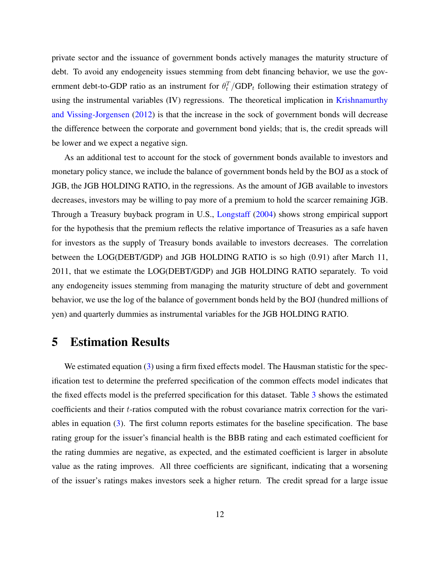private sector and the issuance of government bonds actively manages the maturity structure of debt. To avoid any endogeneity issues stemming from debt financing behavior, we use the government debt-to-GDP ratio as an instrument for  $\theta_t^T/\text{GDP}_t$  following their estimation strategy of using the instrumental variables (IV) regressions. The theoretical implication in Krishnamurthy and Vissing-Jorgensen (2012) is that the increase in the sock of government bonds will decrease the difference between the corporate and government bond yields; that is, the credit spreads will be lower and we expect a negative sign.

As an additional test to account for the stock of government bonds available to investors and monetary policy stance, we include the balance of government bonds held by the BOJ as a stock of JGB, the JGB HOLDING RATIO, in the regressions. As the amount of JGB available to investors decreases, investors may be willing to pay more of a premium to hold the scarcer remaining JGB. Through a Treasury buyback program in U.S., Longstaff (2004) shows strong empirical support for the hypothesis that the premium reflects the relative importance of Treasuries as a safe haven for investors as the supply of Treasury bonds available to investors decreases. The correlation between the LOG(DEBT/GDP) and JGB HOLDING RATIO is so high (0.91) after March 11, 2011, that we estimate the LOG(DEBT/GDP) and JGB HOLDING RATIO separately. To void any endogeneity issues stemming from managing the maturity structure of debt and government behavior, we use the log of the balance of government bonds held by the BOJ (hundred millions of yen) and quarterly dummies as instrumental variables for the JGB HOLDING RATIO.

#### 5 Estimation Results

We estimated equation (3) using a firm fixed effects model. The Hausman statistic for the specification test to determine the preferred specification of the common effects model indicates that the fixed effects model is the preferred specification for this dataset. Table 3 shows the estimated coefficients and their t-ratios computed with the robust covariance matrix correction for the variables in equation (3). The first column reports estimates for the baseline specification. The base rating group for the issuer's financial health is the BBB rating and each estimated coefficient for the rating dummies are negative, as expected, and the estimated coefficient is larger in absolute value as the rating improves. All three coefficients are significant, indicating that a worsening of the issuer's ratings makes investors seek a higher return. The credit spread for a large issue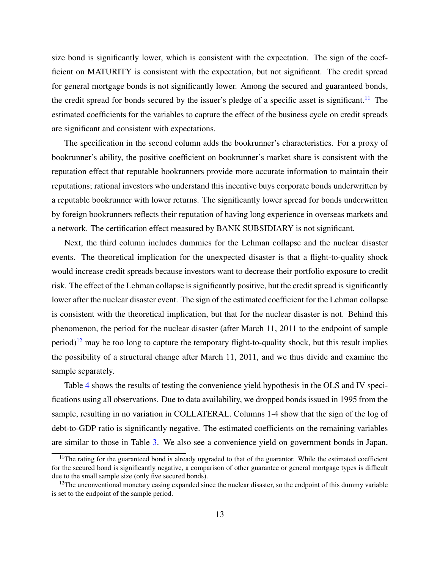size bond is significantly lower, which is consistent with the expectation. The sign of the coefficient on MATURITY is consistent with the expectation, but not significant. The credit spread for general mortgage bonds is not significantly lower. Among the secured and guaranteed bonds, the credit spread for bonds secured by the issuer's pledge of a specific asset is significant.<sup>11</sup> The estimated coefficients for the variables to capture the effect of the business cycle on credit spreads are significant and consistent with expectations.

The specification in the second column adds the bookrunner's characteristics. For a proxy of bookrunner's ability, the positive coefficient on bookrunner's market share is consistent with the reputation effect that reputable bookrunners provide more accurate information to maintain their reputations; rational investors who understand this incentive buys corporate bonds underwritten by a reputable bookrunner with lower returns. The significantly lower spread for bonds underwritten by foreign bookrunners reflects their reputation of having long experience in overseas markets and a network. The certification effect measured by BANK SUBSIDIARY is not significant.

Next, the third column includes dummies for the Lehman collapse and the nuclear disaster events. The theoretical implication for the unexpected disaster is that a flight-to-quality shock would increase credit spreads because investors want to decrease their portfolio exposure to credit risk. The effect of the Lehman collapse is significantly positive, but the credit spread is significantly lower after the nuclear disaster event. The sign of the estimated coefficient for the Lehman collapse is consistent with the theoretical implication, but that for the nuclear disaster is not. Behind this phenomenon, the period for the nuclear disaster (after March 11, 2011 to the endpoint of sample period)<sup>12</sup> may be too long to capture the temporary flight-to-quality shock, but this result implies the possibility of a structural change after March 11, 2011, and we thus divide and examine the sample separately.

Table 4 shows the results of testing the convenience yield hypothesis in the OLS and IV specifications using all observations. Due to data availability, we dropped bonds issued in 1995 from the sample, resulting in no variation in COLLATERAL. Columns 1-4 show that the sign of the log of debt-to-GDP ratio is significantly negative. The estimated coefficients on the remaining variables are similar to those in Table 3. We also see a convenience yield on government bonds in Japan,

 $11$ The rating for the guaranteed bond is already upgraded to that of the guarantor. While the estimated coefficient for the secured bond is significantly negative, a comparison of other guarantee or general mortgage types is difficult due to the small sample size (only five secured bonds).

 $12$ The unconventional monetary easing expanded since the nuclear disaster, so the endpoint of this dummy variable is set to the endpoint of the sample period.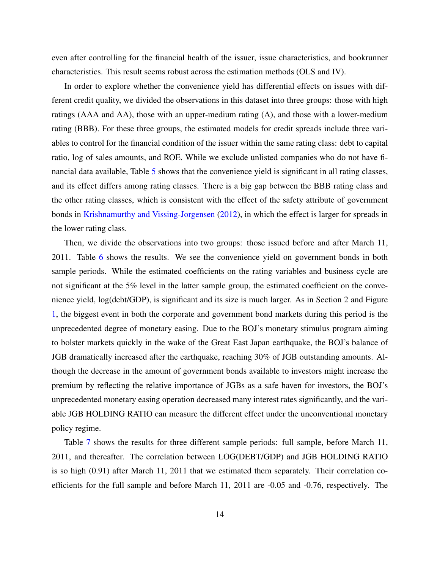even after controlling for the financial health of the issuer, issue characteristics, and bookrunner characteristics. This result seems robust across the estimation methods (OLS and IV).

In order to explore whether the convenience yield has differential effects on issues with different credit quality, we divided the observations in this dataset into three groups: those with high ratings (AAA and AA), those with an upper-medium rating (A), and those with a lower-medium rating (BBB). For these three groups, the estimated models for credit spreads include three variables to control for the financial condition of the issuer within the same rating class: debt to capital ratio, log of sales amounts, and ROE. While we exclude unlisted companies who do not have financial data available, Table 5 shows that the convenience yield is significant in all rating classes, and its effect differs among rating classes. There is a big gap between the BBB rating class and the other rating classes, which is consistent with the effect of the safety attribute of government bonds in Krishnamurthy and Vissing-Jorgensen (2012), in which the effect is larger for spreads in the lower rating class.

Then, we divide the observations into two groups: those issued before and after March 11, 2011. Table 6 shows the results. We see the convenience yield on government bonds in both sample periods. While the estimated coefficients on the rating variables and business cycle are not significant at the 5% level in the latter sample group, the estimated coefficient on the convenience yield, log(debt/GDP), is significant and its size is much larger. As in Section 2 and Figure 1, the biggest event in both the corporate and government bond markets during this period is the unprecedented degree of monetary easing. Due to the BOJ's monetary stimulus program aiming to bolster markets quickly in the wake of the Great East Japan earthquake, the BOJ's balance of JGB dramatically increased after the earthquake, reaching 30% of JGB outstanding amounts. Although the decrease in the amount of government bonds available to investors might increase the premium by reflecting the relative importance of JGBs as a safe haven for investors, the BOJ's unprecedented monetary easing operation decreased many interest rates significantly, and the variable JGB HOLDING RATIO can measure the different effect under the unconventional monetary policy regime.

Table 7 shows the results for three different sample periods: full sample, before March 11, 2011, and thereafter. The correlation between LOG(DEBT/GDP) and JGB HOLDING RATIO is so high (0.91) after March 11, 2011 that we estimated them separately. Their correlation coefficients for the full sample and before March 11, 2011 are -0.05 and -0.76, respectively. The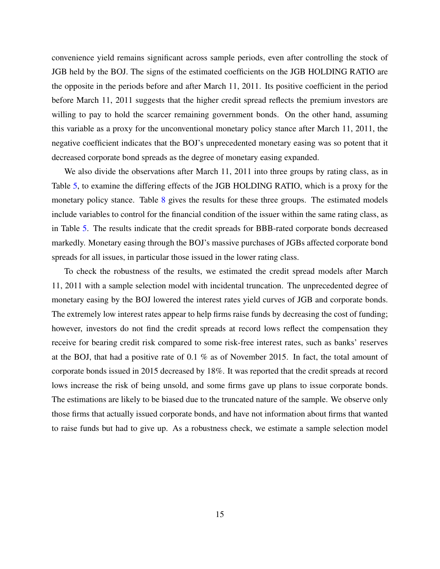convenience yield remains significant across sample periods, even after controlling the stock of JGB held by the BOJ. The signs of the estimated coefficients on the JGB HOLDING RATIO are the opposite in the periods before and after March 11, 2011. Its positive coefficient in the period before March 11, 2011 suggests that the higher credit spread reflects the premium investors are willing to pay to hold the scarcer remaining government bonds. On the other hand, assuming this variable as a proxy for the unconventional monetary policy stance after March 11, 2011, the negative coefficient indicates that the BOJ's unprecedented monetary easing was so potent that it decreased corporate bond spreads as the degree of monetary easing expanded.

We also divide the observations after March 11, 2011 into three groups by rating class, as in Table 5, to examine the differing effects of the JGB HOLDING RATIO, which is a proxy for the monetary policy stance. Table 8 gives the results for these three groups. The estimated models include variables to control for the financial condition of the issuer within the same rating class, as in Table 5. The results indicate that the credit spreads for BBB-rated corporate bonds decreased markedly. Monetary easing through the BOJ's massive purchases of JGBs affected corporate bond spreads for all issues, in particular those issued in the lower rating class.

To check the robustness of the results, we estimated the credit spread models after March 11, 2011 with a sample selection model with incidental truncation. The unprecedented degree of monetary easing by the BOJ lowered the interest rates yield curves of JGB and corporate bonds. The extremely low interest rates appear to help firms raise funds by decreasing the cost of funding; however, investors do not find the credit spreads at record lows reflect the compensation they receive for bearing credit risk compared to some risk-free interest rates, such as banks' reserves at the BOJ, that had a positive rate of 0.1 % as of November 2015. In fact, the total amount of corporate bonds issued in 2015 decreased by 18%. It was reported that the credit spreads at record lows increase the risk of being unsold, and some firms gave up plans to issue corporate bonds. The estimations are likely to be biased due to the truncated nature of the sample. We observe only those firms that actually issued corporate bonds, and have not information about firms that wanted to raise funds but had to give up. As a robustness check, we estimate a sample selection model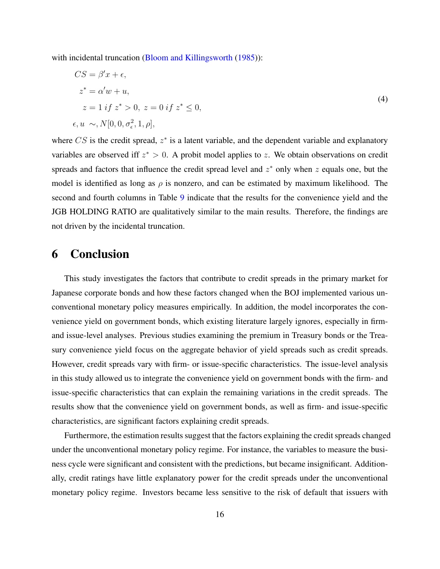with incidental truncation (Bloom and Killingsworth (1985)):

$$
CS = \beta' x + \epsilon,
$$
  
\n
$$
z^* = \alpha' w + u,
$$
  
\n
$$
z = 1 \text{ if } z^* > 0, \ z = 0 \text{ if } z^* \le 0,
$$
  
\n
$$
\epsilon, u \sim, N[0, 0, \sigma_{\epsilon}^2, 1, \rho],
$$
\n(4)

where  $CS$  is the credit spread,  $z^*$  is a latent variable, and the dependent variable and explanatory variables are observed iff  $z^* > 0$ . A probit model applies to z. We obtain observations on credit spreads and factors that influence the credit spread level and  $z^*$  only when z equals one, but the model is identified as long as  $\rho$  is nonzero, and can be estimated by maximum likelihood. The second and fourth columns in Table 9 indicate that the results for the convenience yield and the JGB HOLDING RATIO are qualitatively similar to the main results. Therefore, the findings are not driven by the incidental truncation.

#### 6 Conclusion

This study investigates the factors that contribute to credit spreads in the primary market for Japanese corporate bonds and how these factors changed when the BOJ implemented various unconventional monetary policy measures empirically. In addition, the model incorporates the convenience yield on government bonds, which existing literature largely ignores, especially in firmand issue-level analyses. Previous studies examining the premium in Treasury bonds or the Treasury convenience yield focus on the aggregate behavior of yield spreads such as credit spreads. However, credit spreads vary with firm- or issue-specific characteristics. The issue-level analysis in this study allowed us to integrate the convenience yield on government bonds with the firm- and issue-specific characteristics that can explain the remaining variations in the credit spreads. The results show that the convenience yield on government bonds, as well as firm- and issue-specific characteristics, are significant factors explaining credit spreads.

Furthermore, the estimation results suggest that the factors explaining the credit spreads changed under the unconventional monetary policy regime. For instance, the variables to measure the business cycle were significant and consistent with the predictions, but became insignificant. Additionally, credit ratings have little explanatory power for the credit spreads under the unconventional monetary policy regime. Investors became less sensitive to the risk of default that issuers with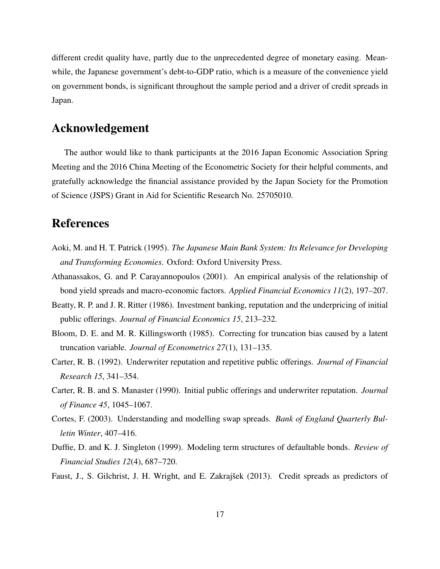different credit quality have, partly due to the unprecedented degree of monetary easing. Meanwhile, the Japanese government's debt-to-GDP ratio, which is a measure of the convenience yield on government bonds, is significant throughout the sample period and a driver of credit spreads in Japan.

### Acknowledgement

The author would like to thank participants at the 2016 Japan Economic Association Spring Meeting and the 2016 China Meeting of the Econometric Society for their helpful comments, and gratefully acknowledge the financial assistance provided by the Japan Society for the Promotion of Science (JSPS) Grant in Aid for Scientific Research No. 25705010.

## References

- Aoki, M. and H. T. Patrick (1995). *The Japanese Main Bank System: Its Relevance for Developing and Transforming Economies*. Oxford: Oxford University Press.
- Athanassakos, G. and P. Carayannopoulos (2001). An empirical analysis of the relationship of bond yield spreads and macro-economic factors. *Applied Financial Economics 11*(2), 197–207.
- Beatty, R. P. and J. R. Ritter (1986). Investment banking, reputation and the underpricing of initial public offerings. *Journal of Financial Economics 15*, 213–232.
- Bloom, D. E. and M. R. Killingsworth (1985). Correcting for truncation bias caused by a latent truncation variable. *Journal of Econometrics 27*(1), 131–135.
- Carter, R. B. (1992). Underwriter reputation and repetitive public offerings. *Journal of Financial Research 15*, 341–354.
- Carter, R. B. and S. Manaster (1990). Initial public offerings and underwriter reputation. *Journal of Finance 45*, 1045–1067.
- Cortes, F. (2003). Understanding and modelling swap spreads. *Bank of England Quarterly Bulletin Winter*, 407–416.
- Duffie, D. and K. J. Singleton (1999). Modeling term structures of defaultable bonds. *Review of Financial Studies 12*(4), 687–720.
- Faust, J., S. Gilchrist, J. H. Wright, and E. Zakrajšek (2013). Credit spreads as predictors of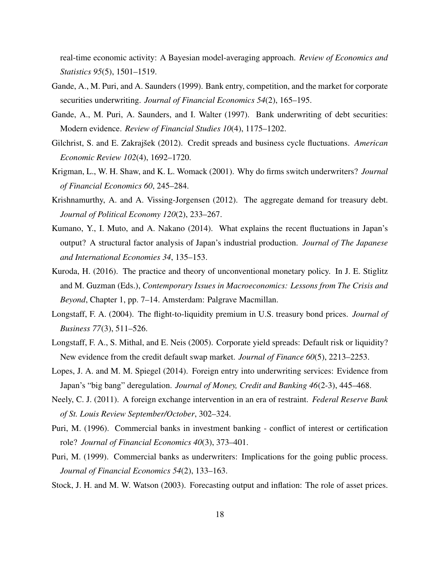real-time economic activity: A Bayesian model-averaging approach. *Review of Economics and Statistics 95*(5), 1501–1519.

- Gande, A., M. Puri, and A. Saunders (1999). Bank entry, competition, and the market for corporate securities underwriting. *Journal of Financial Economics 54*(2), 165–195.
- Gande, A., M. Puri, A. Saunders, and I. Walter (1997). Bank underwriting of debt securities: Modern evidence. *Review of Financial Studies 10*(4), 1175–1202.
- Gilchrist, S. and E. Zakrajšek (2012). Credit spreads and business cycle fluctuations. *American Economic Review 102*(4), 1692–1720.
- Krigman, L., W. H. Shaw, and K. L. Womack (2001). Why do firms switch underwriters? *Journal of Financial Economics 60*, 245–284.
- Krishnamurthy, A. and A. Vissing-Jorgensen (2012). The aggregate demand for treasury debt. *Journal of Political Economy 120*(2), 233–267.
- Kumano, Y., I. Muto, and A. Nakano (2014). What explains the recent fluctuations in Japan's output? A structural factor analysis of Japan's industrial production. *Journal of The Japanese and International Economies 34*, 135–153.
- Kuroda, H. (2016). The practice and theory of unconventional monetary policy. In J. E. Stiglitz and M. Guzman (Eds.), *Contemporary Issues in Macroeconomics: Lessons from The Crisis and Beyond*, Chapter 1, pp. 7–14. Amsterdam: Palgrave Macmillan.
- Longstaff, F. A. (2004). The flight-to-liquidity premium in U.S. treasury bond prices. *Journal of Business 77*(3), 511–526.
- Longstaff, F. A., S. Mithal, and E. Neis (2005). Corporate yield spreads: Default risk or liquidity? New evidence from the credit default swap market. *Journal of Finance 60*(5), 2213–2253.
- Lopes, J. A. and M. M. Spiegel (2014). Foreign entry into underwriting services: Evidence from Japan's "big bang" deregulation. *Journal of Money, Credit and Banking 46*(2-3), 445–468.
- Neely, C. J. (2011). A foreign exchange intervention in an era of restraint. *Federal Reserve Bank of St. Louis Review September/October*, 302–324.
- Puri, M. (1996). Commercial banks in investment banking conflict of interest or certification role? *Journal of Financial Economics 40*(3), 373–401.
- Puri, M. (1999). Commercial banks as underwriters: Implications for the going public process. *Journal of Financial Economics 54*(2), 133–163.
- Stock, J. H. and M. W. Watson (2003). Forecasting output and inflation: The role of asset prices.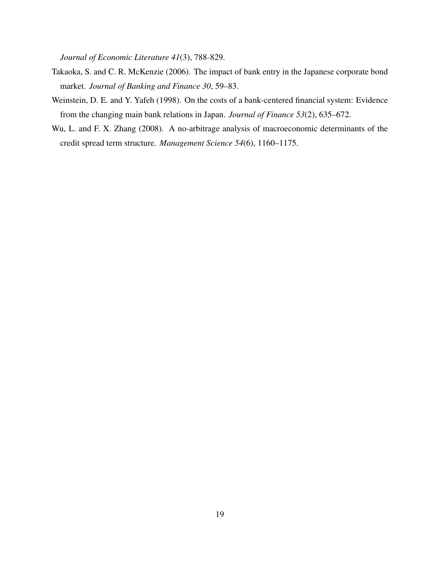*Journal of Economic Literature 41*(3), 788-829.

- Takaoka, S. and C. R. McKenzie (2006). The impact of bank entry in the Japanese corporate bond market. *Journal of Banking and Finance 30*, 59–83.
- Weinstein, D. E. and Y. Yafeh (1998). On the costs of a bank-centered financial system: Evidence from the changing main bank relations in Japan. *Journal of Finance 53*(2), 635–672.
- Wu, L. and F. X. Zhang (2008). A no-arbitrage analysis of macroeconomic determinants of the credit spread term structure. *Management Science 54*(6), 1160–1175.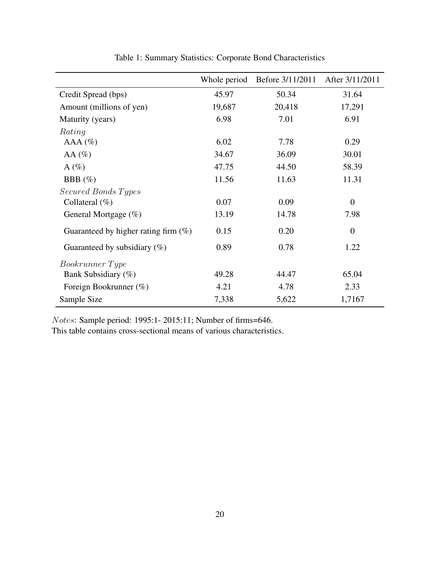|                                         | Whole period | Before 3/11/2011 | After 3/11/2011 |
|-----------------------------------------|--------------|------------------|-----------------|
| Credit Spread (bps)                     | 45.97        | 50.34            | 31.64           |
| Amount (millions of yen)                | 19,687       | 20,418           | 17,291          |
| Maturity (years)                        | 6.98         | 7.01             | 6.91            |
| Rating                                  |              |                  |                 |
| AAA (%)                                 | 6.02         | 7.78             | 0.29            |
| AA $(\%)$                               | 34.67        | 36.09            | 30.01           |
| A $(\%)$                                | 47.75        | 44.50            | 58.39           |
| BBB $(\%)$                              | 11.56        | 11.63            | 11.31           |
| Secured Bonds Types                     |              |                  |                 |
| Collateral $(\%)$                       | 0.07         | 0.09             | $\overline{0}$  |
| General Mortgage $(\%)$                 | 13.19        | 14.78            | 7.98            |
| Guaranteed by higher rating firm $(\%)$ | 0.15         | 0.20             | $\overline{0}$  |
| Guaranteed by subsidiary $(\%)$         | 0.89         | 0.78             | 1.22            |
| <i>Bookrunner Type</i>                  |              |                  |                 |
| Bank Subsidiary (%)                     | 49.28        | 44.47            | 65.04           |
| Foreign Bookrunner (%)                  | 4.21         | 4.78             | 2.33            |
| Sample Size                             | 7,338        | 5,622            | 1,7167          |

Table 1: Summary Statistics: Corporate Bond Characteristics

Notes: Sample period: 1995:1- 2015:11; Number of firms=646.

This table contains cross-sectional means of various characteristics.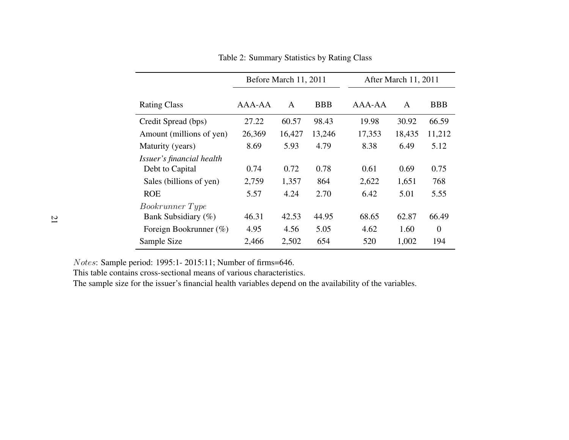|                           | Before March 11, 2011 |        |            | After March 11, 2011 |              |          |
|---------------------------|-----------------------|--------|------------|----------------------|--------------|----------|
| <b>Rating Class</b>       | AAA-AA                | A      | <b>BBB</b> | $A A A - A A$        | $\mathsf{A}$ | BBB      |
| Credit Spread (bps)       | 27.22                 | 60.57  | 98.43      | 19.98                | 30.92        | 66.59    |
| Amount (millions of yen)  | 26,369                | 16,427 | 13,246     | 17,353               | 18,435       | 11,212   |
| Maturity (years)          | 8.69                  | 5.93   | 4.79       | 8.38                 | 6.49         | 5.12     |
| Issuer's financial health |                       |        |            |                      |              |          |
| Debt to Capital           | 0.74                  | 0.72   | 0.78       | 0.61                 | 0.69         | 0.75     |
| Sales (billions of yen)   | 2,759                 | 1,357  | 864        | 2,622                | 1,651        | 768      |
| <b>ROE</b>                | 5.57                  | 4.24   | 2.70       | 6.42                 | 5.01         | 5.55     |
| <i>Bookrunner Type</i>    |                       |        |            |                      |              |          |
| Bank Subsidiary (%)       | 46.31                 | 42.53  | 44.95      | 68.65                | 62.87        | 66.49    |
| Foreign Bookrunner $(\%)$ | 4.95                  | 4.56   | 5.05       | 4.62                 | 1.60         | $\theta$ |
| Sample Size               | 2,466                 | 2,502  | 654        | 520                  | 1,002        | 194      |

Table 2: Summary Statistics by Rating Class

Notes: Sample period: 1995:1- 2015:11; Number of firms=646.

This table contains cross-sectional means of various characteristics.

The sample size for the issuer's financial health variables depend on the availability of the variables.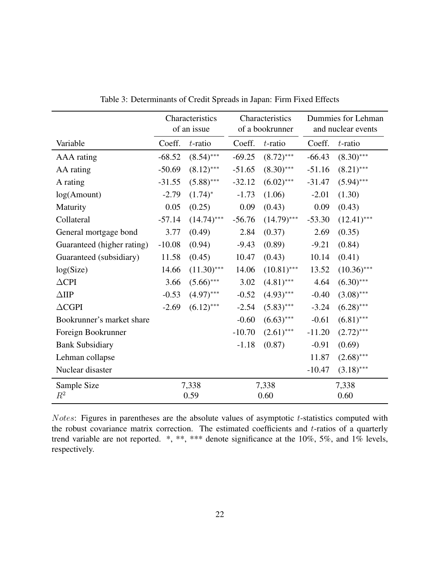|                            | Characteristics<br>of an issue |               | Characteristics<br>of a bookrunner |               | Dummies for Lehman<br>and nuclear events |               |
|----------------------------|--------------------------------|---------------|------------------------------------|---------------|------------------------------------------|---------------|
| Variable                   | Coeff.                         | $t$ -ratio    | Coeff.                             | $t$ -ratio    | Coeff.                                   | $t$ -ratio    |
| AAA rating                 | $-68.52$                       | $(8.54)$ ***  | $-69.25$                           | $(8.72)$ ***  | $-66.43$                                 | $(8.30)$ ***  |
| AA rating                  | $-50.69$                       | $(8.12)$ ***  | $-51.65$                           | $(8.30)$ ***  | $-51.16$                                 | $(8.21)$ ***  |
| A rating                   | $-31.55$                       | $(5.88)$ ***  | $-32.12$                           | $(6.02)$ ***  | $-31.47$                                 | $(5.94)$ ***  |
| log(Amount)                | $-2.79$                        | $(1.74)^{*}$  | $-1.73$                            | (1.06)        | $-2.01$                                  | (1.30)        |
| Maturity                   | 0.05                           | (0.25)        | 0.09                               | (0.43)        | 0.09                                     | (0.43)        |
| Collateral                 | $-57.14$                       | $(14.74)$ *** | $-56.76$                           | $(14.79)$ *** | $-53.30$                                 | $(12.41)$ *** |
| General mortgage bond      | 3.77                           | (0.49)        | 2.84                               | (0.37)        | 2.69                                     | (0.35)        |
| Guaranteed (higher rating) | $-10.08$                       | (0.94)        | $-9.43$                            | (0.89)        | $-9.21$                                  | (0.84)        |
| Guaranteed (subsidiary)    | 11.58                          | (0.45)        | 10.47                              | (0.43)        | 10.14                                    | (0.41)        |
| log(Size)                  | 14.66                          | $(11.30)$ *** | 14.06                              | $(10.81)$ *** | 13.52                                    | $(10.36)$ *** |
| $\triangle$ CPI            | 3.66                           | $(5.66)$ ***  | 3.02                               | $(4.81)$ ***  | 4.64                                     | $(6.30)$ ***  |
| $\triangle$ IIP            | $-0.53$                        | $(4.97)$ ***  | $-0.52$                            | $(4.93)$ ***  | $-0.40$                                  | $(3.08)$ ***  |
| $\triangle$ CGPI           | $-2.69$                        | $(6.12)$ ***  | $-2.54$                            | $(5.83)$ ***  | $-3.24$                                  | $(6.28)$ ***  |
| Bookrunner's market share  |                                |               | $-0.60$                            | $(6.63)$ ***  | $-0.61$                                  | $(6.81)$ ***  |
| Foreign Bookrunner         |                                |               | $-10.70$                           | $(2.61)$ ***  | $-11.20$                                 | $(2.72)$ ***  |
| <b>Bank Subsidiary</b>     |                                |               | $-1.18$                            | (0.87)        | $-0.91$                                  | (0.69)        |
| Lehman collapse            |                                |               |                                    |               | 11.87                                    | $(2.68)$ ***  |
| Nuclear disaster           |                                |               |                                    |               | $-10.47$                                 | $(3.18)$ ***  |
| Sample Size                |                                | 7,338         |                                    | 7,338         | 7,338                                    |               |
| $R^2$                      |                                | 0.59          |                                    | 0.60          |                                          | 0.60          |

Table 3: Determinants of Credit Spreads in Japan: Firm Fixed Effects

Notes: Figures in parentheses are the absolute values of asymptotic t-statistics computed with the robust covariance matrix correction. The estimated coefficients and t-ratios of a quarterly trend variable are not reported. \*, \*\*, \*\*\* denote significance at the 10%, 5%, and 1% levels, respectively.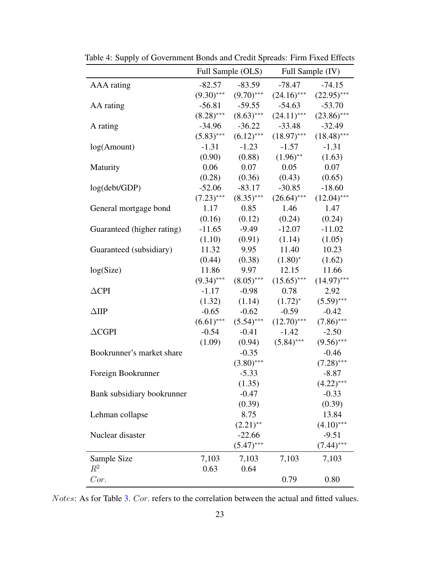|                            |              | Full Sample (OLS)         |                            | Full Sample (IV)            |
|----------------------------|--------------|---------------------------|----------------------------|-----------------------------|
| AAA rating                 | $-82.57$     | $-83.59$                  | -78.47                     | $-74.15$                    |
|                            | $(9.30)$ *** | $(9.70)$ ***              |                            | $(24.16)$ *** $(22.95)$ *** |
| AA rating                  | $-56.81$     | $-59.55$                  | $-54.63$                   | $-53.70$                    |
|                            |              | $(8.28)$ *** $(8.63)$ *** | $(24.11)$ ***              | $(23.86)$ ***               |
| A rating                   | $-34.96$     | $-36.22$                  | $-33.48$                   | $-32.49$                    |
|                            | $(5.83)$ *** | $(6.12)$ ***              | $(18.97)$ ***              | $(18.48)$ ***               |
| log(Amount)                | $-1.31$      | $-1.23$                   | $-1.57$                    | $-1.31$                     |
|                            |              | $(0.90)$ $(0.88)$         | $(1.96)$ **                | (1.63)                      |
| Maturity                   |              | $0.06$ 0.07               | 0.05                       | 0.07                        |
|                            |              | $(0.28)$ $(0.36)$         | (0.43)                     | (0.65)                      |
| log(debt/GDP)              | $-52.06$     | $-83.17$                  | $-30.85$                   | $-18.60$                    |
|                            | $(7.23)$ *** | $(8.35)$ ***              | $(26.64)$ ***              | $(12.04)$ ***               |
| General mortgage bond      |              | $1.17 \t0.85$             | 1.46                       | 1.47                        |
|                            |              |                           | $(0.16)$ $(0.12)$ $(0.24)$ | (0.24)                      |
| Guaranteed (higher rating) | $-11.65$     | $-9.49$                   | $-12.07$                   | $-11.02$                    |
|                            | (1.10)       | (0.91)                    | (1.14)                     | (1.05)                      |
| Guaranteed (subsidiary)    | 11.32        | 9.95                      | 11.40                      | 10.23                       |
|                            |              | $(0.44)$ $(0.38)$         | $(1.80)^*$                 | (1.62)                      |
| log(Size)                  | 11.86        | 9.97                      | 12.15                      | 11.66                       |
|                            | $(9.34)$ *** | $(8.05)$ ***              | $(15.65)$ ***              | $(14.97)$ ***               |
| $\triangle$ CPI            | $-1.17$      | $-0.98$                   | 0.78                       | 2.92                        |
|                            | (1.32)       |                           | $(1.14)$ $(1.72)^*$        | $(5.59)$ ***                |
| $\triangle$ IIP            | $-0.65$      | $-0.62$                   | $-0.59$                    | $-0.42$                     |
|                            | $(6.61)$ *** | $(5.54)$ ***              | $(12.70)$ ***              | $(7.86)$ ***                |
| $\triangle$ CGPI           | $-0.54$      | $-0.41$                   | $-1.42$                    | $-2.50$                     |
|                            | (1.09)       | (0.94)                    | $(5.84)$ ***               | $(9.56)$ ***                |
| Bookrunner's market share  |              | $-0.35$                   |                            | $-0.46$                     |
|                            |              | $(3.80)$ ***              |                            | $(7.28)$ ***                |
| Foreign Bookrunner         |              | $-5.33$                   |                            | $-8.87$                     |
|                            |              | (1.35)                    |                            | $(4.22)$ ***                |
| Bank subsidiary bookrunner |              | $-0.47$                   |                            | $-0.33$                     |
|                            |              | (0.39)                    |                            | (0.39)                      |
| Lehman collapse            |              | 8.75                      |                            | 13.84                       |
|                            |              | $(2.21)$ **               |                            | $(4.10)$ ***                |
| Nuclear disaster           |              | $-22.66$                  |                            | $-9.51$                     |
|                            |              | $(5.47)$ ***              |                            | $(7.44)$ ***                |
| Sample Size                | 7,103        | 7,103                     | 7,103                      | 7,103                       |
| $R^2$                      | 0.63         | 0.64                      |                            |                             |
| Cor.                       |              |                           | 0.79                       | 0.80                        |

Table 4: Supply of Government Bonds and Credit Spreads: Firm Fixed Effects

Notes: As for Table 3. Cor. refers to the correlation between the actual and fitted values.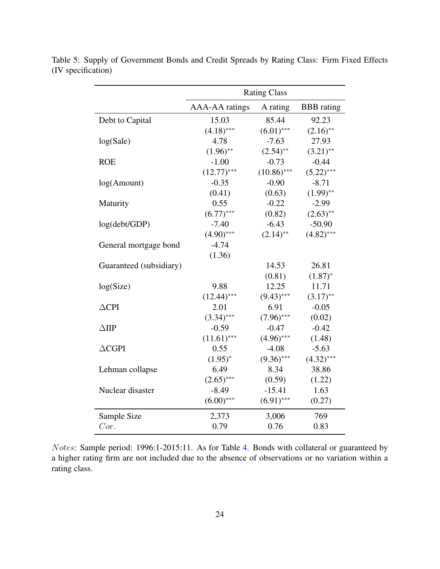|                         | <b>Rating Class</b>   |               |                   |  |
|-------------------------|-----------------------|---------------|-------------------|--|
|                         | <b>AAA-AA</b> ratings | A rating      | <b>BBB</b> rating |  |
| Debt to Capital         | 15.03                 | 85.44         | 92.23             |  |
|                         | $(4.18)$ ***          | $(6.01)$ ***  | $(2.16)$ **       |  |
| log(Sale)               | 4.78                  | $-7.63$       | 27.93             |  |
|                         | $(1.96)$ **           | $(2.54)$ **   | $(3.21)$ **       |  |
| <b>ROE</b>              | $-1.00$               | $-0.73$       | $-0.44$           |  |
|                         | $(12.77)$ ***         | $(10.86)$ *** | $(5.22)$ ***      |  |
| log(Amount)             | $-0.35$               | $-0.90$       | $-8.71$           |  |
|                         | (0.41)                | (0.63)        | $(1.99)$ **       |  |
| Maturity                | 0.55                  | $-0.22$       | $-2.99$           |  |
|                         | $(6.77)$ ***          | (0.82)        | $(2.63)$ **       |  |
| log(debt/GDP)           | $-7.40$               | $-6.43$       | $-50.90$          |  |
|                         | $(4.90)$ ***          | $(2.14)$ **   | $(4.82)$ ***      |  |
| General mortgage bond   | $-4.74$               |               |                   |  |
|                         | (1.36)                |               |                   |  |
| Guaranteed (subsidiary) |                       | 14.53         | 26.81             |  |
|                         |                       | (0.81)        | $(1.87)^{*}$      |  |
| log(Size)               | 9.88                  | 12.25         | 11.71             |  |
|                         | $(12.44)$ ***         | $(9.43)$ ***  | $(3.17)$ **       |  |
| $\triangle$ CPI         | 2.01                  | 6.91          | $-0.05$           |  |
|                         | $(3.34)$ ***          | $(7.96)$ ***  | (0.02)            |  |
| $\triangle$ IIP         | $-0.59$               | $-0.47$       | $-0.42$           |  |
|                         | $(11.61)$ ***         | $(4.96)$ ***  | (1.48)            |  |
| $\triangle$ CGPI        | 0.55                  | $-4.08$       | $-5.63$           |  |
|                         | $(1.95)^{*}$          | $(9.36)$ ***  | $(4.32)$ ***      |  |
| Lehman collapse         | 6.49                  | 8.34          | 38.86             |  |
|                         | $(2.65)$ ***          | (0.59)        | (1.22)            |  |
| Nuclear disaster        | $-8.49$               | $-15.41$      | 1.63              |  |
|                         | $(6.00)$ ***          | $(6.91)$ ***  | (0.27)            |  |
| Sample Size             | 2,373                 | 3,006         | 769               |  |
| Cor.                    | 0.79                  | 0.76          | 0.83              |  |

Table 5: Supply of Government Bonds and Credit Spreads by Rating Class: Firm Fixed Effects (IV specification)

Notes: Sample period: 1996:1-2015:11. As for Table 4. Bonds with collateral or guaranteed by a higher rating firm are not included due to the absence of observations or no variation within a rating class.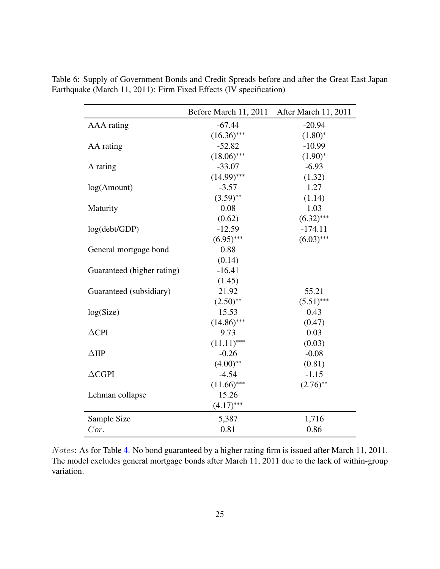|                            | Before March 11, 2011 | After March 11, 2011 |
|----------------------------|-----------------------|----------------------|
| AAA rating                 | $-67.44$              | $-20.94$             |
|                            | $(16.36)$ ***         | $(1.80)^{*}$         |
| AA rating                  | $-52.82$              | $-10.99$             |
|                            | $(18.06)$ ***         | $(1.90)^{*}$         |
| A rating                   | $-33.07$              | $-6.93$              |
|                            | $(14.99)$ ***         | (1.32)               |
| log(Amount)                | $-3.57$               | 1.27                 |
|                            | $(3.59)$ **           | (1.14)               |
| Maturity                   | 0.08                  | 1.03                 |
|                            | (0.62)                | $(6.32)$ ***         |
| log(debt/GDP)              | $-12.59$              | $-174.11$            |
|                            | $(6.95)$ ***          | $(6.03)$ ***         |
| General mortgage bond      | 0.88                  |                      |
|                            | (0.14)                |                      |
| Guaranteed (higher rating) | $-16.41$              |                      |
|                            | (1.45)                |                      |
| Guaranteed (subsidiary)    | 21.92                 | 55.21                |
|                            | $(2.50)$ **           | $(5.51)$ ***         |
| log(Size)                  | 15.53                 | 0.43                 |
|                            | $(14.86)$ ***         | (0.47)               |
| $\triangle$ CPI            | 9.73                  | 0.03                 |
|                            | $(11.11)$ ***         | (0.03)               |
| $\triangle$ IIP            | $-0.26$               | $-0.08$              |
|                            | $(4.00)$ **           | (0.81)               |
| $\triangle$ CGPI           | $-4.54$               | $-1.15$              |
|                            | $(11.66)$ ***         | $(2.76)$ **          |
| Lehman collapse            | 15.26                 |                      |
|                            | $(4.17)$ ***          |                      |
| Sample Size                | 5,387                 | 1,716                |
| Cor.                       | 0.81                  | 0.86                 |

Table 6: Supply of Government Bonds and Credit Spreads before and after the Great East Japan Earthquake (March 11, 2011): Firm Fixed Effects (IV specification)

Notes: As for Table 4. No bond guaranteed by a higher rating firm is issued after March 11, 2011. The model excludes general mortgage bonds after March 11, 2011 due to the lack of within-group variation.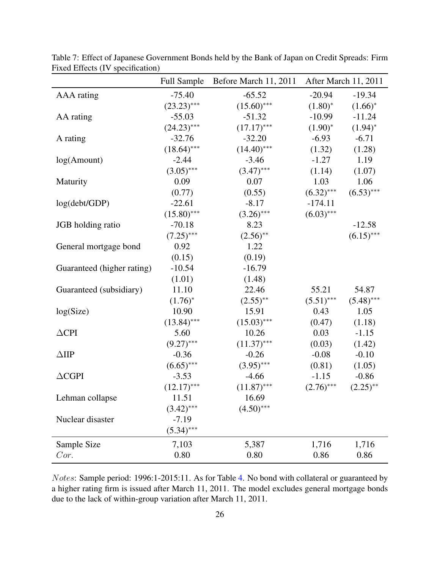|                            |               | Full Sample Before March 11, 2011 |              | After March 11, 2011 |
|----------------------------|---------------|-----------------------------------|--------------|----------------------|
| <b>AAA</b> rating          | $-75.40$      | $-65.52$                          | $-20.94$     | $-19.34$             |
|                            | $(23.23)$ *** | $(15.60)$ ***                     | $(1.80)^*$   | $(1.66)^*$           |
| AA rating                  | $-55.03$      | $-51.32$                          | $-10.99$     | $-11.24$             |
|                            | $(24.23)$ *** | $(17.17)$ ***                     | $(1.90)^{*}$ | $(1.94)^{*}$         |
| A rating                   | $-32.76$      | $-32.20$                          | $-6.93$      | $-6.71$              |
|                            | $(18.64)$ *** | $(14.40)$ ***                     | (1.32)       | (1.28)               |
| log(Amount)                | $-2.44$       | $-3.46$                           | $-1.27$      | 1.19                 |
|                            | $(3.05)$ ***  | $(3.47)$ ***                      | (1.14)       | (1.07)               |
| Maturity                   | 0.09          | 0.07                              | 1.03         | 1.06                 |
|                            | (0.77)        | (0.55)                            | $(6.32)$ *** | $(6.53)$ ***         |
| log(debt/GDP)              | $-22.61$      | $-8.17$                           | $-174.11$    |                      |
|                            | $(15.80)$ *** | $(3.26)$ ***                      | $(6.03)$ *** |                      |
| JGB holding ratio          | $-70.18$      | 8.23                              |              | $-12.58$             |
|                            | $(7.25)$ ***  | $(2.56)$ **                       |              | $(6.15)$ ***         |
| General mortgage bond      | 0.92          | 1.22                              |              |                      |
|                            | (0.15)        | (0.19)                            |              |                      |
| Guaranteed (higher rating) | $-10.54$      | $-16.79$                          |              |                      |
|                            | (1.01)        | (1.48)                            |              |                      |
| Guaranteed (subsidiary)    | 11.10         | 22.46                             | 55.21        | 54.87                |
|                            | $(1.76)^{*}$  | $(2.55)$ **                       | $(5.51)$ *** | $(5.48)$ ***         |
| log(Size)                  | 10.90         | 15.91                             | 0.43         | 1.05                 |
|                            | $(13.84)$ *** | $(15.03)$ ***                     | (0.47)       | (1.18)               |
| $\triangle$ CPI            | 5.60          | 10.26                             | 0.03         | $-1.15$              |
|                            | $(9.27)$ ***  | $(11.37)$ ***                     | (0.03)       | (1.42)               |
| $\triangle$ IIP            | $-0.36$       | $-0.26$                           | $-0.08$      | $-0.10$              |
|                            | $(6.65)$ ***  | $(3.95)$ ***                      | (0.81)       | (1.05)               |
| $\triangle$ CGPI           | $-3.53$       | $-4.66$                           | $-1.15$      | $-0.86$              |
|                            | $(12.17)$ *** | $(11.87)$ ***                     | $(2.76)$ *** | $(2.25)$ **          |
| Lehman collapse            | 11.51         | 16.69                             |              |                      |
|                            | $(3.42)$ ***  | $(4.50)$ ***                      |              |                      |
| Nuclear disaster           | $-7.19$       |                                   |              |                      |
|                            | $(5.34)$ ***  |                                   |              |                      |
| Sample Size                | 7,103         | 5,387                             | 1,716        | 1,716                |
| Cor.                       | 0.80          | 0.80                              | 0.86         | 0.86                 |

Table 7: Effect of Japanese Government Bonds held by the Bank of Japan on Credit Spreads: Firm Fixed Effects (IV specification)

Notes: Sample period: 1996:1-2015:11. As for Table 4. No bond with collateral or guaranteed by a higher rating firm is issued after March 11, 2011. The model excludes general mortgage bonds due to the lack of within-group variation after March 11, 2011.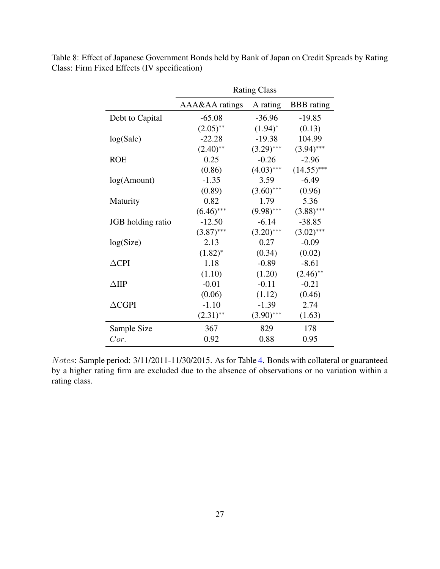|                   | <b>Rating Class</b> |              |                   |  |  |
|-------------------|---------------------|--------------|-------------------|--|--|
|                   |                     |              |                   |  |  |
|                   | AAA&AA ratings      | A rating     | <b>BBB</b> rating |  |  |
| Debt to Capital   | $-65.08$            | $-36.96$     | $-19.85$          |  |  |
|                   | $(2.05)$ **         | $(1.94)^{*}$ | (0.13)            |  |  |
| log(Sale)         | $-22.28$            | $-19.38$     | 104.99            |  |  |
|                   | $(2.40)$ **         | $(3.29)$ *** | $(3.94)$ ***      |  |  |
| <b>ROE</b>        | 0.25                | $-0.26$      | $-2.96$           |  |  |
|                   | (0.86)              | $(4.03)$ *** | $(14.55)$ ***     |  |  |
| log(Amount)       | $-1.35$             | 3.59         | $-6.49$           |  |  |
|                   | (0.89)              | $(3.60)$ *** | (0.96)            |  |  |
| Maturity          | 0.82                | 1.79         | 5.36              |  |  |
|                   | $(6.46)$ ***        | $(9.98)$ *** | $(3.88)$ ***      |  |  |
| JGB holding ratio | $-12.50$            | $-6.14$      | $-38.85$          |  |  |
|                   | $(3.87)$ ***        | $(3.20)$ *** | $(3.02)$ ***      |  |  |
| log(Size)         | 2.13                | 0.27         | $-0.09$           |  |  |
|                   | $(1.82)^{*}$        | (0.34)       | (0.02)            |  |  |
| $\triangle$ CPI   | 1.18                | $-0.89$      | $-8.61$           |  |  |
|                   | (1.10)              | (1.20)       | $(2.46)$ **       |  |  |
| $\triangle$ IIP   | $-0.01$             | $-0.11$      | $-0.21$           |  |  |
|                   | (0.06)              | (1.12)       | (0.46)            |  |  |
| $\triangle$ CGPI  | $-1.10$             | $-1.39$      | 2.74              |  |  |
|                   | $(2.31)$ **         | $(3.90)$ *** | (1.63)            |  |  |
| Sample Size       | 367                 | 829          | 178               |  |  |
| Cor.              | 0.92                | 0.88         | 0.95              |  |  |

Table 8: Effect of Japanese Government Bonds held by Bank of Japan on Credit Spreads by Rating Class: Firm Fixed Effects (IV specification)

Notes: Sample period: 3/11/2011-11/30/2015. As for Table 4. Bonds with collateral or guaranteed by a higher rating firm are excluded due to the absence of observations or no variation within a rating class.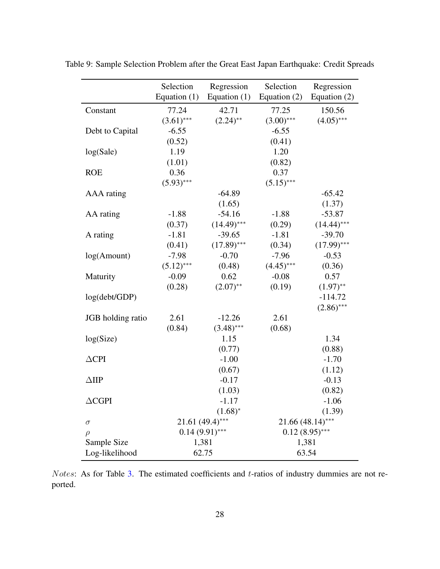|                      | Selection      | Regression         | Selection          | Regression     |  |
|----------------------|----------------|--------------------|--------------------|----------------|--|
|                      | Equation $(1)$ | Equation $(1)$     | Equation $(2)$     | Equation $(2)$ |  |
| Constant             | 77.24          | 42.71              | 77.25              | 150.56         |  |
|                      | $(3.61)$ ***   | $(2.24)$ **        | $(3.00)$ ***       | $(4.05)$ ***   |  |
| Debt to Capital      | $-6.55$        |                    | $-6.55$            |                |  |
|                      | (0.52)         |                    | (0.41)             |                |  |
| log(Sale)            | 1.19           |                    | 1.20               |                |  |
|                      | (1.01)         |                    | (0.82)             |                |  |
| <b>ROE</b>           | 0.36           |                    | 0.37               |                |  |
|                      | $(5.93)$ ***   |                    | $(5.15)$ ***       |                |  |
| AAA rating           |                | $-64.89$           |                    | $-65.42$       |  |
|                      |                | (1.65)             |                    | (1.37)         |  |
| AA rating            | $-1.88$        | $-54.16$           | $-1.88$            | $-53.87$       |  |
|                      | (0.37)         | $(14.49)$ ***      | (0.29)             | $(14.44)$ ***  |  |
| A rating             | $-1.81$        | $-39.65$           | $-1.81$            | $-39.70$       |  |
|                      | (0.41)         | $(17.89)$ ***      | (0.34)             | $(17.99)$ ***  |  |
| log(Amount)          | $-7.98$        | $-0.70$            | $-7.96$            | $-0.53$        |  |
|                      | $(5.12)$ ***   | (0.48)             | $(4.45)$ ***       | (0.36)         |  |
| Maturity             | $-0.09$        | 0.62               | $-0.08$            | 0.57           |  |
|                      | (0.28)         | $(2.07)$ **        | (0.19)             | $(1.97)$ **    |  |
| log(debt/GDP)        |                |                    |                    | $-114.72$      |  |
|                      |                |                    |                    | $(2.86)$ ***   |  |
| JGB holding ratio    | 2.61           | $-12.26$           | 2.61               |                |  |
|                      | (0.84)         | $(3.48)$ ***       | (0.68)             |                |  |
| log(Size)            |                | 1.15               |                    | 1.34           |  |
|                      |                | (0.77)             |                    | (0.88)         |  |
| $\triangle$ CPI      |                | $-1.00$            |                    | $-1.70$        |  |
|                      |                | (0.67)             |                    | (1.12)         |  |
| $\triangle$ IIP      |                | $-0.17$            |                    | $-0.13$        |  |
|                      |                | (1.03)             |                    | (0.82)         |  |
| $\Delta \text{CGPI}$ |                | $-1.17$            |                    | $-1.06$        |  |
|                      |                | $(1.68)^{*}$       |                    | (1.39)         |  |
| $\sigma$             |                | $21.61 (49.4)$ *** | $21.66(48.14)$ *** |                |  |
| $\rho$               |                | $0.14(9.91)$ ***   | $0.12(8.95)$ ***   |                |  |
| Sample Size          | 1,381          |                    | 1,381              |                |  |
| Log-likelihood       | 62.75          |                    | 63.54              |                |  |

Table 9: Sample Selection Problem after the Great East Japan Earthquake: Credit Spreads

Notes: As for Table 3. The estimated coefficients and t-ratios of industry dummies are not reported.